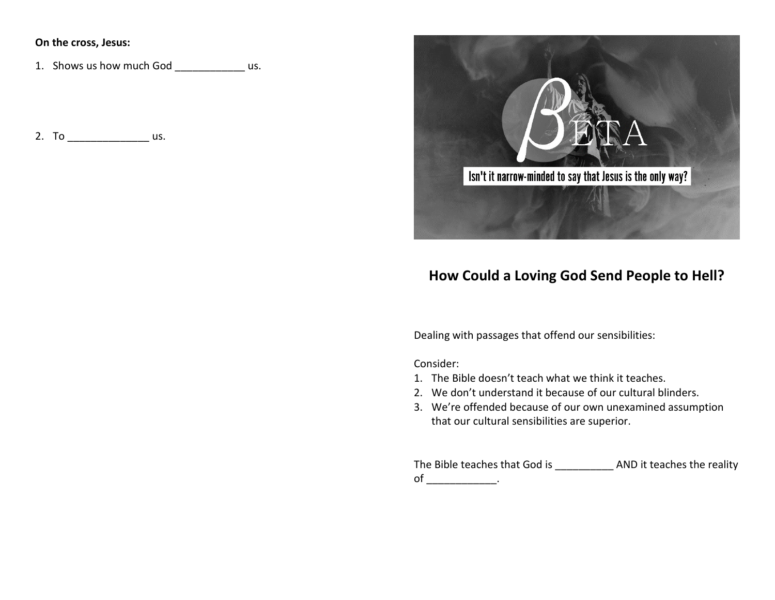### **On the cross, Jesus:**

1. Shows us how much God us.

2. To \_\_\_\_\_\_\_\_\_\_\_\_\_\_\_\_\_\_\_ us.



# **How Could a Loving God Send People to Hell?**

Dealing with passages that offend our sensibilities:

Consider:

- 1. The Bible doesn't teach what we think it teaches.
- 2. We don't understand it because of our cultural blinders.
- 3. We're offended because of our own unexamined assumption that our cultural sensibilities are superior.

The Bible teaches that God is \_\_\_\_\_\_\_\_\_\_ AND it teaches the reality  $of$   $\qquad \qquad$